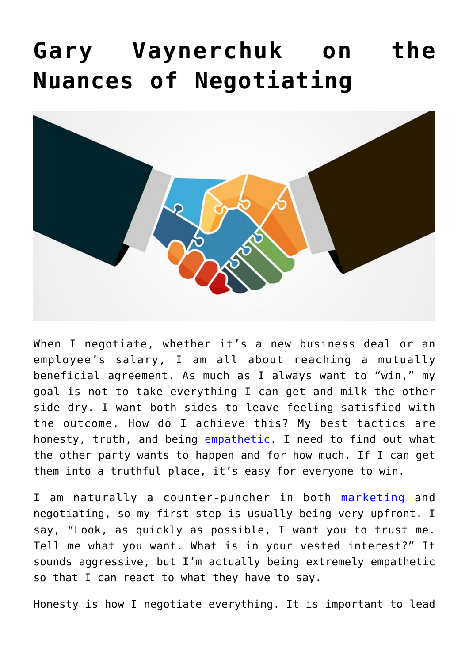## **[Gary Vaynerchuk on the](https://www.commpro.biz/gary-vaynerchuk-on-the-nuances-of-negotiating/) [Nuances of Negotiating](https://www.commpro.biz/gary-vaynerchuk-on-the-nuances-of-negotiating/)**



When I negotiate, whether it's a new business deal or an employee's salary, I am all about reaching a mutually beneficial agreement. As much as I always want to "win," my goal is not to take everything I can get and milk the other side dry. I want both sides to leave feeling satisfied with the outcome. How do I achieve this? My best tactics are honesty, truth, and being [empathetic.](https://www.garyvaynerchuk.com/empathy-one-of-the-keys-to-my-business-success/) I need to find out what the other party wants to happen and for how much. If I can get them into a truthful place, it's easy for everyone to win.

I am naturally a counter-puncher in both [marketing](https://www.commpro.biz/the-askgaryvee-show-channel/) and negotiating, so my first step is usually being very upfront. I say, "Look, as quickly as possible, I want you to trust me. Tell me what you want. What is in your vested interest?" It sounds aggressive, but I'm actually being extremely empathetic so that I can react to what they have to say.

Honesty is how I negotiate everything. It is important to lead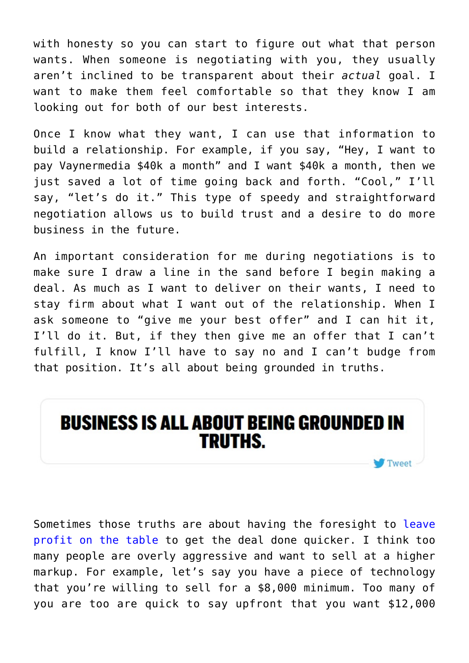with honesty so you can start to figure out what that person wants. When someone is negotiating with you, they usually aren't inclined to be transparent about their *actual* goal. I want to make them feel comfortable so that they know I am looking out for both of our best interests.

Once I know what they want, I can use that information to build a relationship. For example, if you say, "Hey, I want to pay Vaynermedia \$40k a month" and I want \$40k a month, then we just saved a lot of time going back and forth. "Cool," I'll say, "let's do it." This type of speedy and straightforward negotiation allows us to build trust and a desire to do more business in the future.

An important consideration for me during negotiations is to make sure I draw a line in the sand before I begin making a deal. As much as I want to deliver on their wants, I need to stay firm about what I want out of the relationship. When I ask someone to "give me your best offer" and I can hit it, I'll do it. But, if they then give me an offer that I can't fulfill, I know I'll have to say no and I can't budge from that position. It's all about being grounded in truths.



Sometimes those truths are about having the foresight to [leave](https://www.garyvaynerchuk.com/leaving-money-on-the-table-to-win-the-war/) [profit on the table](https://www.garyvaynerchuk.com/leaving-money-on-the-table-to-win-the-war/) to get the deal done quicker. I think too many people are overly aggressive and want to sell at a higher markup. For example, let's say you have a piece of technology that you're willing to sell for a \$8,000 minimum. Too many of you are too are quick to say upfront that you want \$12,000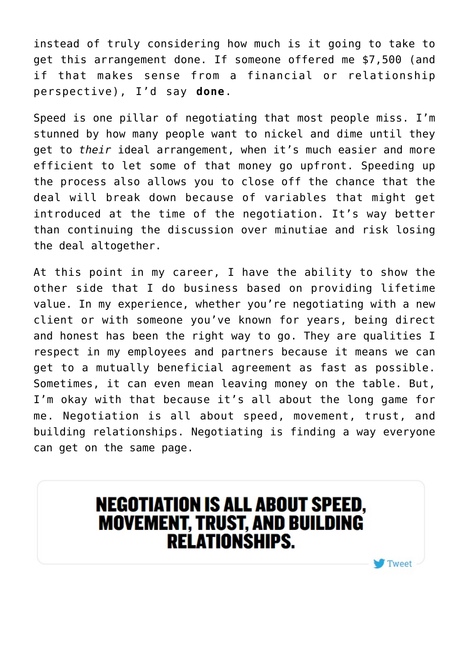instead of truly considering how much is it going to take to get this arrangement done. If someone offered me \$7,500 (and if that makes sense from a financial or relationship perspective), I'd say **done**.

Speed is one pillar of negotiating that most people miss. I'm stunned by how many people want to nickel and dime until they get to *their* ideal arrangement, when it's much easier and more efficient to let some of that money go upfront. Speeding up the process also allows you to close off the chance that the deal will break down because of variables that might get introduced at the time of the negotiation. It's way better than continuing the discussion over minutiae and risk losing the deal altogether.

At this point in my career, I have the ability to show the other side that I do business based on providing lifetime value. In my experience, whether you're negotiating with a new client or with someone you've known for years, being direct and honest has been the right way to go. They are qualities I respect in my employees and partners because it means we can get to a mutually beneficial agreement as fast as possible. Sometimes, it can even mean leaving money on the table. But, I'm okay with that because it's all about the long game for me. Negotiation is all about speed, movement, trust, and building relationships. Negotiating is finding a way everyone can get on the same page.

## **NEGOTIATION IS ALL ABOUT SPEED,<br>MOVEMENT, TRUST, AND BUILDING RELATIONSHIPS.**

Tweet